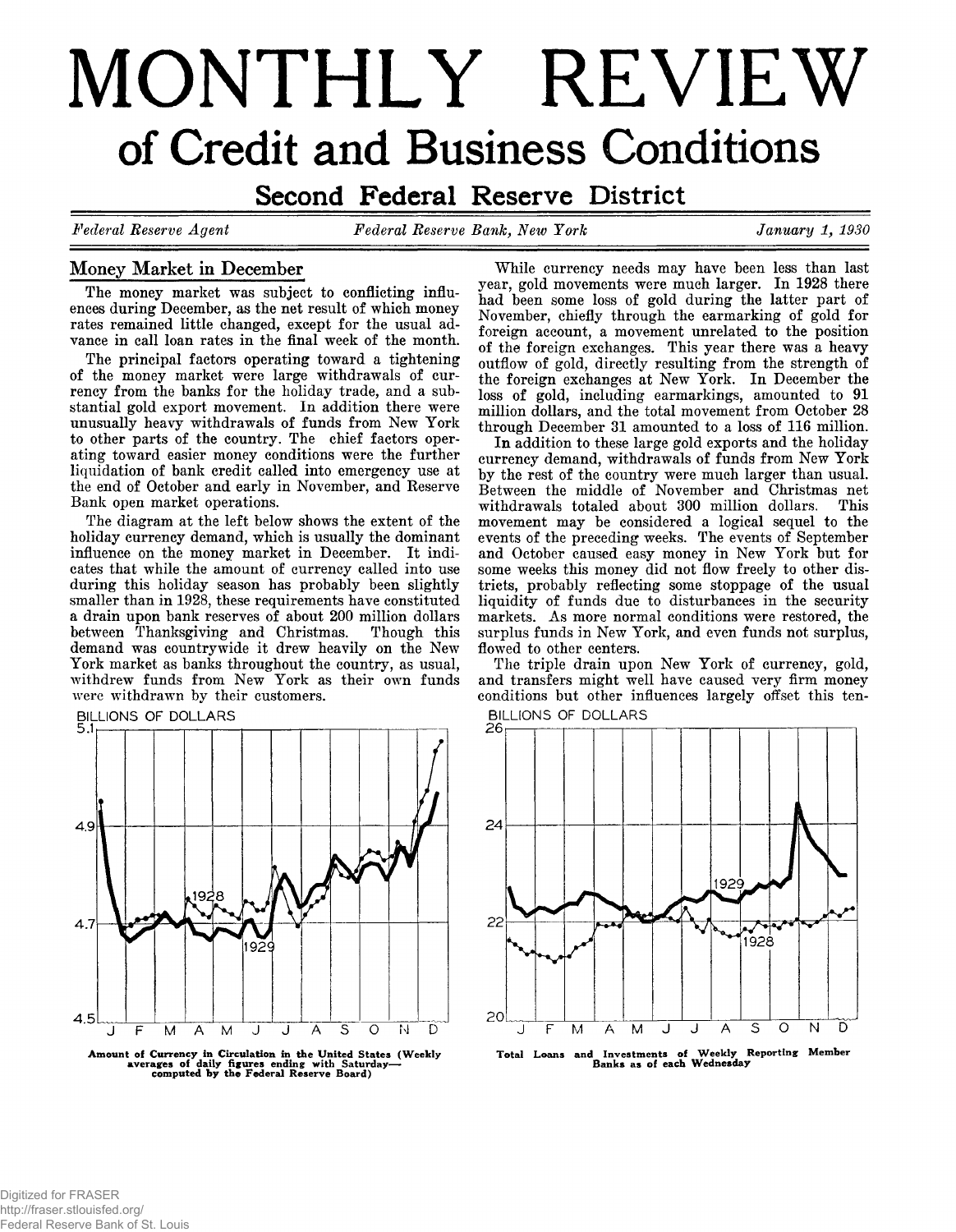# MONTHLY REVIEW of Credit and Business Conditions

**Second Federal Reserve District** 

*Federal Eeserve Agent Federal Eeserve Bank, New York January 1 , 1930*

20

F M A M J J

# **Money Market in December**

The money market was subject to conflicting influ**ences during December, as the net result of which money rates remained little changed, except for the usual advance in call loan rates in the final week of the month.**

**The principal factors operating toward a tightening of the money market were large withdrawals of currency from the banks for the holiday trade, and a substantial gold export movement. In addition there were unusually heavy withdrawals of funds from New York to other parts of the country. The chief factors operating toward easier money conditions were the further liquidation of bank credit called into emergency use at the end of October and early in November, and Eeserve Bank open market operations.**

**The diagram at the left below shows the extent of the holiday currency demand, which is usually the dominant influence on the money market in December. It indicates that while the amount of currency called into use during this holiday season has probably been slightly smaller than in 1928, these requirements have constituted a drain upon bank reserves of about 200 million dollars between Thanksgiving and Christmas. Though this demand was countrywide it drew heavily on the New York market as banks throughout the country, as usual, withdrew funds from New York as their own funds were withdrawn by their customers.**





Amount of Currency In Circulation in the United States (Weekly averages of daily figures ending with Saturday— computed by the Federal Reserve Board)

**While currency needs may have been less than last year, gold movements were much larger. In 1928 there had been some loss of gold during the latter part of November, chiefly through the earmarking of gold for foreign account, a movement unrelated to the position of the foreign exchanges. This year there was a heavy outflow of gold, directly resulting from the strength of the foreign exchanges at New York. In December the loss of gold, including earmarkings, amounted to 91 million dollars, and the total movement from October 28 through December 31 amounted to a loss of 116 million.**

**In addition to these large gold exports and the holiday currency demand, withdrawals of funds from New York by the rest of the country were much larger than usual. Between the middle of November and Christmas net** withdrawals totaled about 300 million dollars. **movement may be considered a logical sequel to the events of the preceding weeks. The events of September and October caused easy money in New York but for some weeks this money did not flow freely to other districts, probably reflecting some stoppage of the usual liquidity of funds due to disturbances in the security markets. As more normal conditions were restored, the surplus funds in New York, and even funds not surplus, flowed to other centers.**

**The triple drain upon New York of currency, gold, and transfers might well have caused very firm money conditions but other influences largely offset this ten-**



**Total Loans and Investments of Weekly Reporting Member Banks as of each Wednesday**

 $\mathsf{S}$  $\Omega$ N

 $\overline{A}$ 

Ď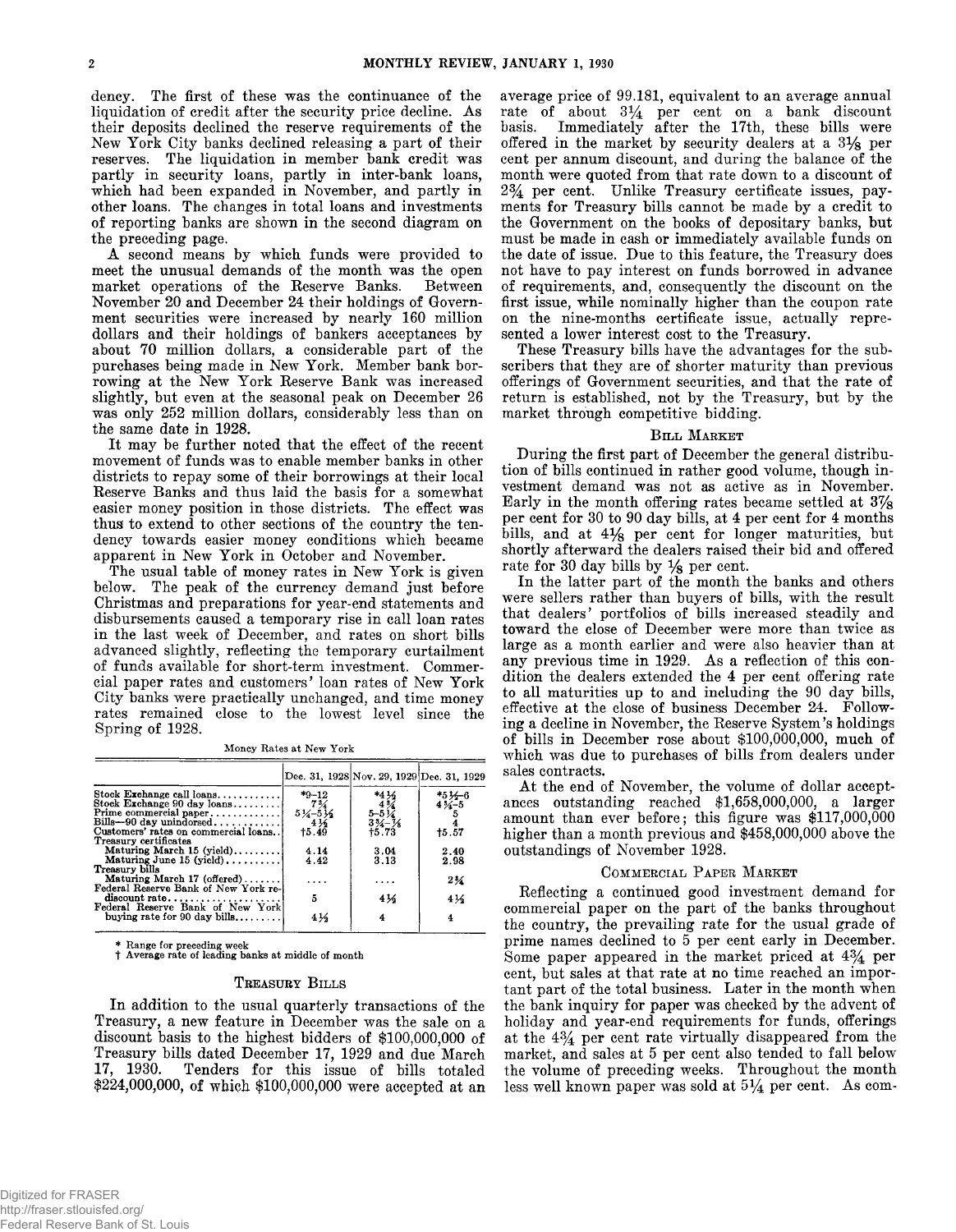**dency. The first of these was the continuance of the liquidation of credit after the security price decline. As their deposits declined the reserve requirements of the New York City banks declined releasing a part of their reserves. The liquidation in member bank credit was partly in security loans, partly in inter-bank loans, which had been expanded in November, and partly in other loans. The changes in total loans and investments of reporting banks are shown in the second diagram on the preceding page.**

**A second means by which funds were provided to meet the unusual demands of the month was the open market operations of the Reserve Banks. Between November 20 and December 24 their holdings of Government securities were increased by nearly 160 million dollars and their holdings of bankers acceptances by about 70 million dollars, a considerable part of the purchases being made in New York. Member bank borrowing at the New York Reserve Bank was increased slightly, but even at the seasonal peak on December 26 was only 252 million dollars, considerably less than on the same date in 1928.**

**It may be further noted that the effect of the recent movement of funds was to enable member banks in other districts to repay some of their borrowings at their local Reserve Banks and thus laid the basis for a somewhat easier money position in those districts. The effect was** thus to extend to other sections of the country the ten**dency towards easier money conditions which became apparent in New York in October and November.**

**The usual table of money rates in New York is given below. The peak of the currency demand just before Christmas and preparations for year-end statements and disbursements caused a temporary rise in call loan rates in the last week of December, and rates on short bills advanced slightly, reflecting the temporary curtailment of funds available for short-term investment. Commercial paper rates and customers' loan rates of New York City banks were practically unchanged, and time money rates remained close to the lowest level since the Spring of 1928.**

**Money Rates at New York**

|                                                                                                               |                                                                        | Dec. 31, 1928 Nov. 29, 1929 Dec. 31, 1929 |                                        |
|---------------------------------------------------------------------------------------------------------------|------------------------------------------------------------------------|-------------------------------------------|----------------------------------------|
| Stock Exchange call loans<br>Stock Exchange 90 day loans<br>Prime commercial paper<br>Bills-90 day unindorsed | $*9 - 12$<br>$7\%$<br>$\frac{5\frac{1}{4}-6\frac{1}{4}}{4\frac{1}{4}}$ | *436<br>$\frac{43}{5-5}$                  | $*5\frac{1}{2}6$<br>4 $\frac{1}{4}$ -5 |
| Customers' rates on commercial loans.<br>Treasury certificates                                                | 15.49                                                                  | $33/17/8$<br>+5.73                        | 15.57                                  |
| Maturing March 15 (yield)<br>Maturing June 15 (yield),                                                        | 4.14<br>4.42                                                           | 3.04<br>3.13                              | 2.40<br>2.98                           |
| Treasury bills<br>Maturing March 17 (offered)                                                                 |                                                                        |                                           | $2\frac{1}{4}$                         |
| Federal Reserve Bank of New York re-                                                                          | .                                                                      | .                                         |                                        |
| Federal Reserve Bank of New York                                                                              | 5                                                                      | 41⁄2                                      | 416                                    |
| buying rate for 90 day bills                                                                                  | 416                                                                    | 4                                         |                                        |

**\* Range for preceding week t Average rate of leading banks at middle of month**

#### **T reasury Bills**

**In addition to the usual quarterly transactions of the Treasury, a new feature in December was the sale on a discount basis to the highest bidders of \$100,000,000 of Treasury bills dated December 17, 1929 and due March 17, 1930. Tenders for this issue of bills totaled \$224,000,000, of which \$100,000,000 were accepted at an** **average price of 99.181, equivalent to an average annual rate of about** *3%* **per cent on a bank discount basis. Immediately after the 17th, these bills were offered in the market by security dealers at a 3 % per cent per annum discount, and during the balance of the month were quoted from that rate down to a discount of** *2%* **per cent. Unlike Treasury certificate issues, payments for Treasury bills cannot be made by a credit to the Government on the books of depositary banks, but must be made in cash or immediately available funds on the date of issue. Due to this feature, the Treasury does not have to pay interest on funds borrowed in advance of requirements, and, consequently the discount on the first issue, while nominally higher than the coupon rate on the nine-months certificate issue, actually represented a lower interest cost to the Treasury.**

**These Treasury bills have the advantages for the subscribers that they are of shorter maturity than previous offerings of Government securities, and that the rate of return is established, not by the Treasury, but by the market through competitive bidding.**

#### **Bill Market**

**During the first part of December the general distribution of bills continued in rather good volume, though investment demand was not as active as in November. Early in the month offering rates became settled at 3 % per cent for 30 to 90 day bills, at 4 per cent for 4 months** bills, and at 4<sup>1</sup>/<sub>8</sub> per cent for longer maturities, but **shortly afterward the dealers raised their bid and offered rate for 30 day bills by % per cent.**

**In the latter part of the month the banks and others were sellers rather than buyers of bills, with the result that dealers' portfolios of bills increased steadily and toward the close of December were more than twice as large as a month earlier and were also heavier than at any previous time in 1929. As a reflection of this condition the dealers extended the 4 per cent offering rate to all maturities up to and including the 90 day bills, effective at the close of business December 24. Following a decline in November, the Reserve System's holdings of bills in December rose about \$100,000,000, much of which was due to purchases of bills from dealers under sales contracts.**

At the end of November, the volume of dollar accept**ances outstanding reached \$1,658,000,000, a larger amount than ever before; this figure was \$117,000,000 higher than a month previous and \$458,000,000 above the outstandings of November 1928.**

#### **Commercial Paper Market**

**Reflecting a continued good investment demand for commercial paper on the part of the banks throughout the country, the prevailing rate for the usual grade of prime names declined to 5 per cent early in December. Some paper appeared in the market priced at** *4%* **per cent, but sales at that rate at no time reached an important part of the total business. Later in the month when the bank inquiry for paper was checked by the advent of holiday and year-end requirements for funds, offerings at the 4 % per cent rate virtually disappeared from the market, and sales at 5 per cent also tended to fall below the volume of preceding weeks. Throughout the month** less well known paper was sold at  $5\frac{1}{4}$  per cent. As com-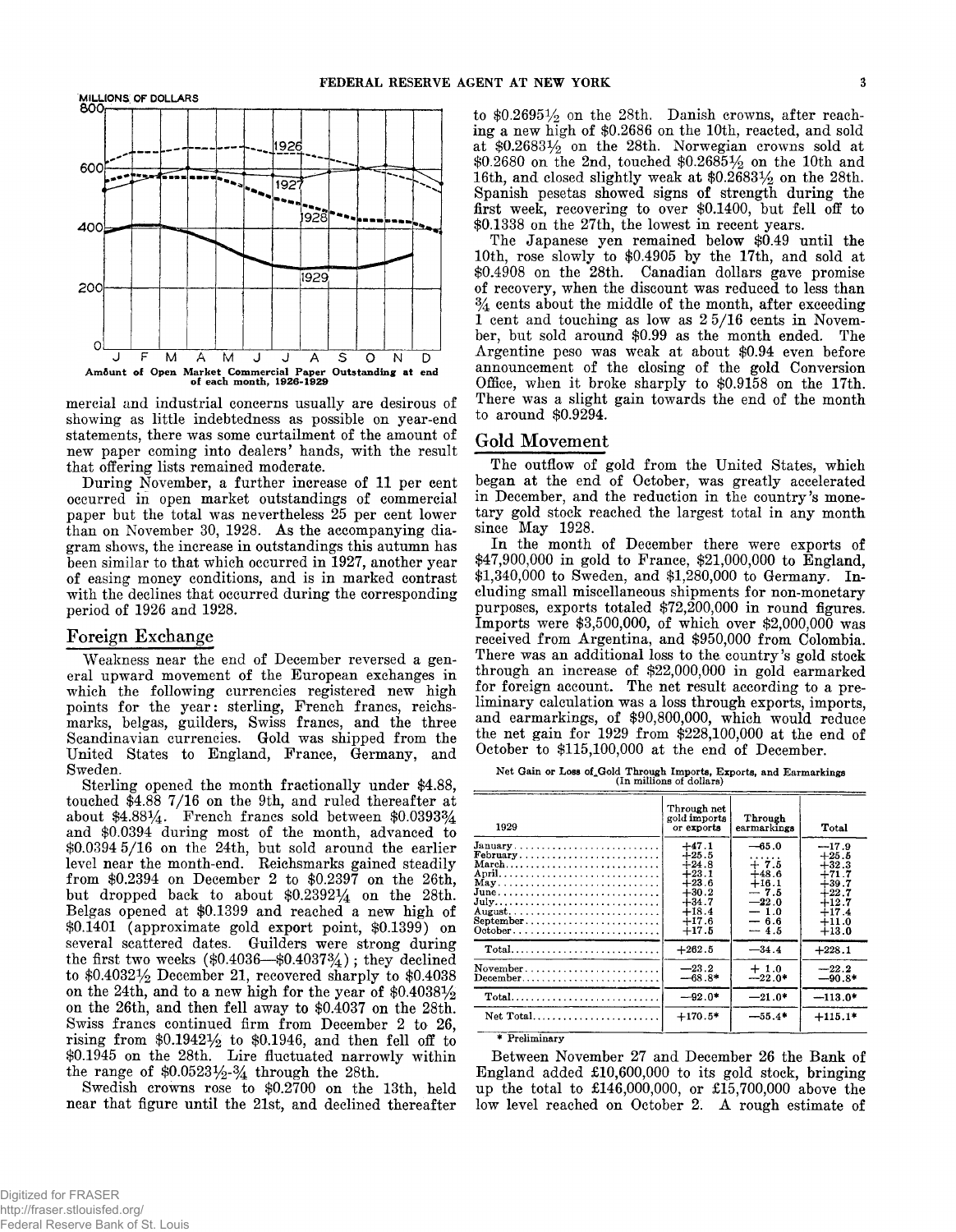

**mercial and industrial concerns usually are desirous of showing as little indebtedness as possible on year-end statements, there was some curtailment of the amount of new paper coming into dealers' hands, with the result that offering lists remained moderate.**

**During November, a further increase of 11 per cent occurred in open market outstandings of commercial paper but the total was nevertheless 25 per cent lower than on November 30, 1928. As the accompanying diagram shows, the increase in outstandings this autumn has been similar to that which occurred in 1927, another year of easing money conditions, and is in marked contrast with the declines that occurred during the corresponding period of 1926 and 1928.**

## **Foreign Exchange**

**Weakness near the end of December reversed a general upward movement of the European exchanges in which the following currencies registered new high points for the year: sterling, French francs, reichsmarks, belgas, guilders, Swiss francs, and the three Scandinavian currencies. Gold was shipped from the United States to England, France, Germany, and Sweden.**

**Sterling opened the month fractionally under \$4.88, touched \$4.88 7/16 on the 9th, and ruled thereafter at about \$4.88% . French francs sold between \$0.0393% and \$0.0394 during most of the month, advanced to \$0.0394 5/16 on the 24th, but sold around the earlier level near the month-end. Reichsmarks gained steadily from \$0.2394 on December 2 to \$0.2397 on the 26th, but dropped back to about \$0.2392% on the 28th. Belgas opened at \$0.1399 and reached a new high of \$0.1401 (approximate gold export point, \$0.1399) on several scattered dates. Guilders were strong during the first two weeks (\$0.4036— \$0.4037% ); they declined to \$0.4032% December 21, recovered sharply to \$0.4038 on the 24th, and to a new high for the year of \$0.4038% on the 26th, and then fell away to \$0.4037 on the 28th. Swiss francs continued firm from December 2 to 26, rising from \$0.1942% to \$0,1946, and then fell off to \$0.1945 on the 28th. Lire fluctuated narrowly within** the range of  $$0.0523\frac{1}{2}$  through the 28th.

**Swedish crowns rose to \$0.2700 on the 13th, held near that figure until the 21st, and declined thereafter** to \$0.2695<sup>1</sup>/<sub>2</sub> on the 28th. Danish crowns, after reach**ing a new high of \$0.2686 on the 10th, reacted, and sold at \$0.2683% on the 28th. Norwegian crowns sold at \$0.2680 on the 2nd, touched \$0.2685% on the 10th and 16th, and closed slightly weak at \$0.2683% on the 28th. Spanish pesetas showed signs of strength during the first week, recovering to over \$0.1400, but fell off to \$0.1338 on the 27th, the lowest in recent years.**

**The Japanese yen remained below \$0.49 until the 10th, rose slowly to \$0.4905 by the 17th, and sold at \$0.4908 on the 28th. Canadian dollars gave promise of recovery, when the discount was reduced to less than % cents about the middle of the month, after exceeding 1 cent and touching as low as 2 5/16 cents in November, but sold around \$0.99 as the month ended. The Argentine peso was weak at about \$0.94 even before announcement of the closing of the gold Conversion Office, when it broke sharply to \$0.9158 on the 17th. There was a slight gain towards the end of the month to around \$0.9294.**

## Gold Movement

**The outflow of gold from the United States, which began at the end of October, was greatly accelerated in December, and the reduction in the country's monetary gold stock reached the largest total in any month since May 1928.**

**In the month of December there were exports of \$47,900,000 in gold to France, \$21,000,000 to England, \$1,340,000 to Sweden, and \$1,280,000 to Germany. Including small miscellaneous shipments for non-monetary purposes, exports totaled \$72,200,000 in round figures. Imports were \$3,500,000, of which over \$2,000,000 was received from Argentina, and \$950,000 from Colombia. There was an additional loss to the country's gold stock through an increase of \$22,000,000 in gold earmarked for foreign account. The net result according to a preliminary calculation was a loss through exports, imports, and earmarkings, of \$90,800,000, which would reduce the net gain for 1929 from \$228,100,000 at the end of October to \$115,100,000 at the end of December.**

**Net Gain or Loss of^Gold Through Imports, Exports, and Earmarkings (In millions of dollars)**

| 1929                                                                                                                           | Through net<br>gold imports<br>or exports                                                                  | Through<br>earmarkings                                                                     | Total                                                                                                      |
|--------------------------------------------------------------------------------------------------------------------------------|------------------------------------------------------------------------------------------------------------|--------------------------------------------------------------------------------------------|------------------------------------------------------------------------------------------------------------|
| January<br>February<br>March<br>July<br>September                                                                              | $+47.1$<br>$+25.5$<br>$+24.8$<br>$+23.1$<br>$+23.6$<br>$+30.2$<br>$+34.7$<br>$+18.4$<br>$+17.6$<br>$+17.5$ | $-65.0$<br>$+7.5$<br>$+48.6$<br>$+16.1$<br>$-7.5$<br>$-22.0$<br>$-1.0$<br>$-6.6$<br>$-4.5$ | $-17.9$<br>$+25.5$<br>$+32.3$<br>$+71.7$<br>$+39.7$<br>$+22.7$<br>$+12.7$<br>$+17.4$<br>$+11.0$<br>$+13.0$ |
| Total                                                                                                                          | $+262.5$                                                                                                   | $-34.4$                                                                                    | $+228.1$                                                                                                   |
| $November \dots \dots \dots \dots \dots \dots \dots \dots$<br>$December \dots \dots \dots \dots \dots \dots \dots \dots \dots$ | $-23.2$<br>$-68.8*$                                                                                        | $+1.0$<br>$-22.0*$                                                                         | $-22.2$<br>$-90.8*$                                                                                        |
| Total                                                                                                                          | $-92.0*$                                                                                                   | $-21.0*$                                                                                   | $-113.0*$                                                                                                  |
| $Net Total. \ldots \ldots \ldots \ldots \ldots \ldots$                                                                         | $+170.5*$                                                                                                  | $-55.4*$                                                                                   | $+115.1*$                                                                                                  |

**\* Preliminary**

**Between November 27 and December 26 the Bank of England added £10,600,000 to its gold stock, bringing up the total to £146,000,000, or £15,700,000 above the low level reached on October 2. A rough estimate of**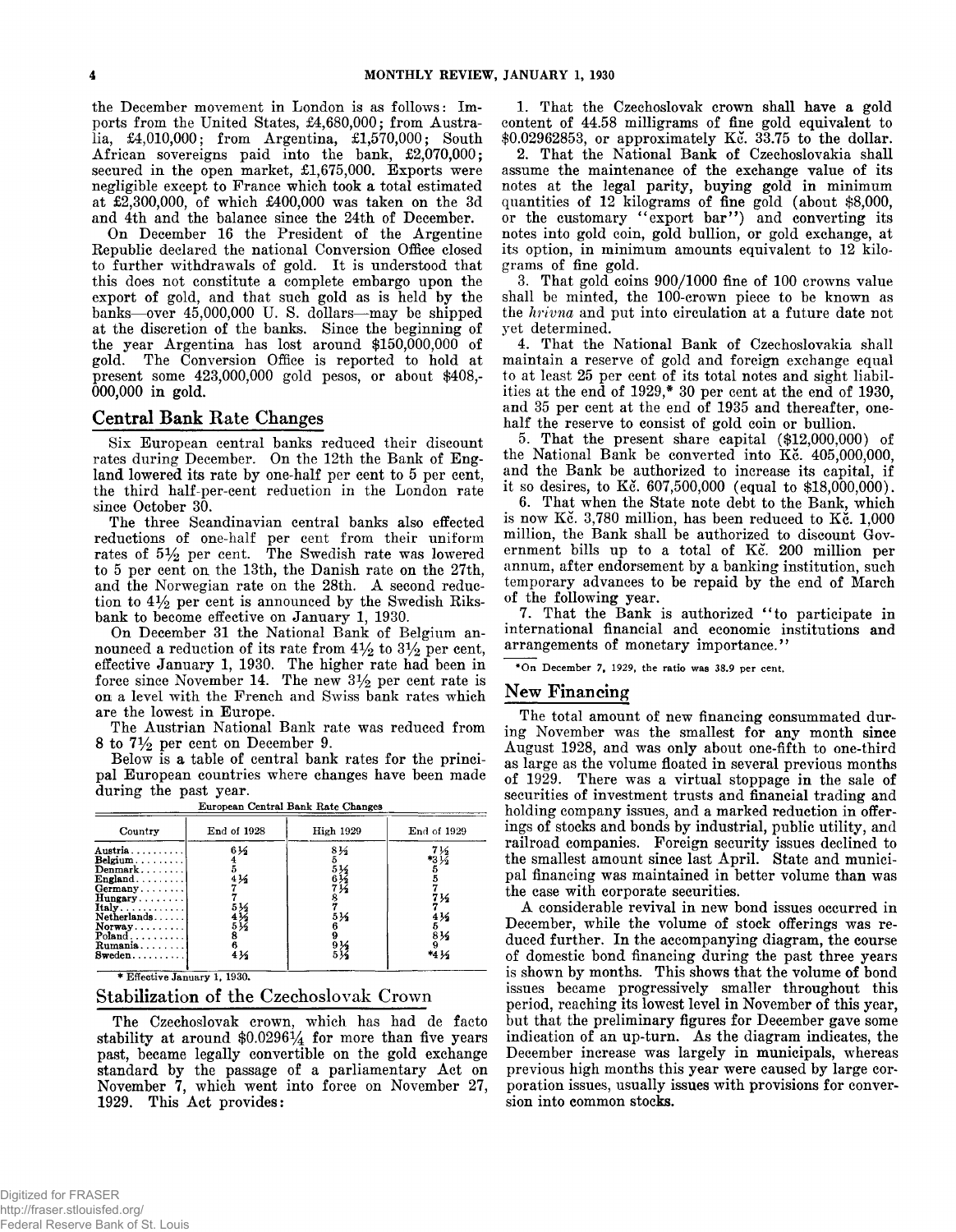**the December movement in London is as follows: Imports from the United States, £4,680,000; from Australia, £4,010,000; from Argentina, £1,570,000; South African sovereigns paid into the bank, £2,070,000; secured in the open market, £1,675,000. Exports were negligible except to France which took a total estimated at £2,300,000, of which £400,000 was taken on the 3d and 4th and the balance since the 24th of December.**

**On December 16 the President of the Argentine Republic declared the national Conversion Office closed to further withdrawals of gold. It is understood that this does not constitute a complete embargo upon the export of gold, and that such gold as is held by the banks— over 45,000,000 U. S. dollars— may be shipped at the discretion of the banks. Since the beginning of the year Argentina has lost around \$150,000,000 of gold. The Conversion Office is reported to hold at present some 423,000,000 gold pesos, or about \$408,- 000,000 in gold.**

## **Central Bank Rate Changes**

**Six European central banks reduced their discount rates during December. On the 12th the Bank of England lowered its rate by one-half per cent to 5 per cent, the third half-per-cent reduction in the London rate since October 30.**

**The three Scandinavian central banks also effected reductions of one-half per cent from their uniform** rates of  $5\frac{1}{2}$  per cent. The Swedish rate was lowered **to 5 per cent on the 13th, the Danish rate on the 27th, and the Norwegian rate on the 28th. A second reduc**tion to  $4\frac{1}{2}$  per cent is announced by the Swedish Riks**bank to become effective on January 1, 1930.**

**On December 31 the National Bank of Belgium an**nounced a reduction of its rate from  $4\frac{1}{2}$  to  $3\frac{1}{2}$  per cent, **effective January 1, 1930. The higher rate had been in** force since November 14. The new 3½ per cent rate is **on a level with the French and Swiss bank rates which are the lowest in Europe.**

**The Austrian National Bank rate was reduced from**  $8$  to  $7\frac{1}{2}$  per cent on December 9.

**Below is a table of central bank rates for the principal European countries where changes have been made during the past year.**

| Country                                                                                                                                                                                      | End of 1928                                                               | High 1929                           | End <sub>o</sub> f <sub>1929</sub>           |
|----------------------------------------------------------------------------------------------------------------------------------------------------------------------------------------------|---------------------------------------------------------------------------|-------------------------------------|----------------------------------------------|
| Austria<br>$Belgium \ldots \ldots \ldots$<br>Denmark<br>$\text{England} \dots \dots$<br>$Germany$<br>Hungary<br>$Itally \ldots $<br>Netherlands<br>Normay<br>$Poland$ ,<br>Rumania<br>Sweden | 61<br>4 <sub>2</sub><br>$\delta$ <sup>16</sup><br>$\frac{43}{25}$<br>41/2 | 81⁄2<br>536<br>6½<br>7½<br>5½<br>9½ | *314<br>7½<br>4 <sub>2</sub><br>814<br>*4 14 |

**\_\_\_\_\_\_\_\_\_\_\_\_\_\_\_\_\_\_\_\_\_\_European Central Bank Rate Changes\_\_\_\_\_\_\_\_\_\_\_\_\_\_\_\_\_\_\_\_\_\_**

**\* Effective January 1, 1930.**

# **Stabilization of the Czechoslovak Crown**

**The Czechoslovak crown, which has had de facto** stability at around  $$0.0296\frac{1}{4}$  for more than five years **past, became legally convertible on the gold exchange standard by the passage of a parliamentary Act on November 7, which went into force on November 27, 1929. This Act provides:**

**1. That the Czechoslovak crown shall have a gold content of 44.58 milligrams of fine gold equivalent to \$0.02962853, or approximately Kc. 33.75 to the dollar.**

**2. That the National Bank of Czechoslovakia shall assume the maintenance of the exchange value of its notes at the legal parity, buying gold in minimum quantities of 12 kilograms of fine gold (about \$8,000,** or the customary "export bar") and converting its **notes into gold coin, gold bullion, or gold exchange, at its option, in minimum amounts equivalent to 12 kilograms of fine gold.**

**3. That gold coins 900/1000 fine of 100 crowns value shall be minted, the 100-crown piece to be known as the** *hrivna* **and put into circulation at a future date not yet determined.**

**4. That the National Bank of Czechoslovakia shall maintain a reserve of gold and foreign exchange equal to at least 25 per cent of its total notes and sight liabilities at the end of 1929,\* 30 per cent at the end of 1930, and 35 per cent at the end of 1935 and thereafter, onehalf the reserve to consist of gold coin or bullion.**

**5. That the present share capital (\$12,000,000) of the National Bank be converted into Kc. 405,000,000, and the Bank be authorized to increase its capital, if it so desires, to Kc. 607,500,000 (equal to \$18,000,000).**

**6. That when the State note debt to the Bank, which** is now Kc. 3,780 million, has been reduced to Kc. 1,000 **million, the Bank shall be authorized to discount Government bills up to a total of Kc. 200 million per annum, after endorsement by a banking institution, such temporary advances to be repaid by the end of March of the following year.**

**7. That the Bank is authorized " to participate in international financial and economic institutions and arrangements of monetary importance. ' '**

**\*On December 7, 1929, the ratio was 38.9 per cent.**

# **New Financing**

**The total amount of new financing consummated during November was the smallest for any month since** August 1928, and was only about one-fifth to one-third **as large as the volume floated in several previous months of 1929. There was a virtual stoppage in the sale of securities of investment trusts and financial trading and holding company issues, and a marked reduction in offerings of stocks and bonds by industrial, public utility, and railroad companies. Foreign security issues declined to the smallest amount since last April. State and municipal financing was maintained in better volume than was the case with corporate securities.**

**A considerable revival in new bond issues occurred in December, while the volume of stock offerings was reduced further. In the accompanying diagram, the course of domestic bond financing during the past three years is shown by months. This shows that the volume of bond issues became progressively smaller throughout this period, reaching its lowest level in November of this year, but that the preliminary figures for December gave some indication of an up-turn. As the diagram indicates, the December increase was largely in municipals, whereas previous high months this year were caused by large corporation issues, usually issues with provisions for conversion into common stocks.**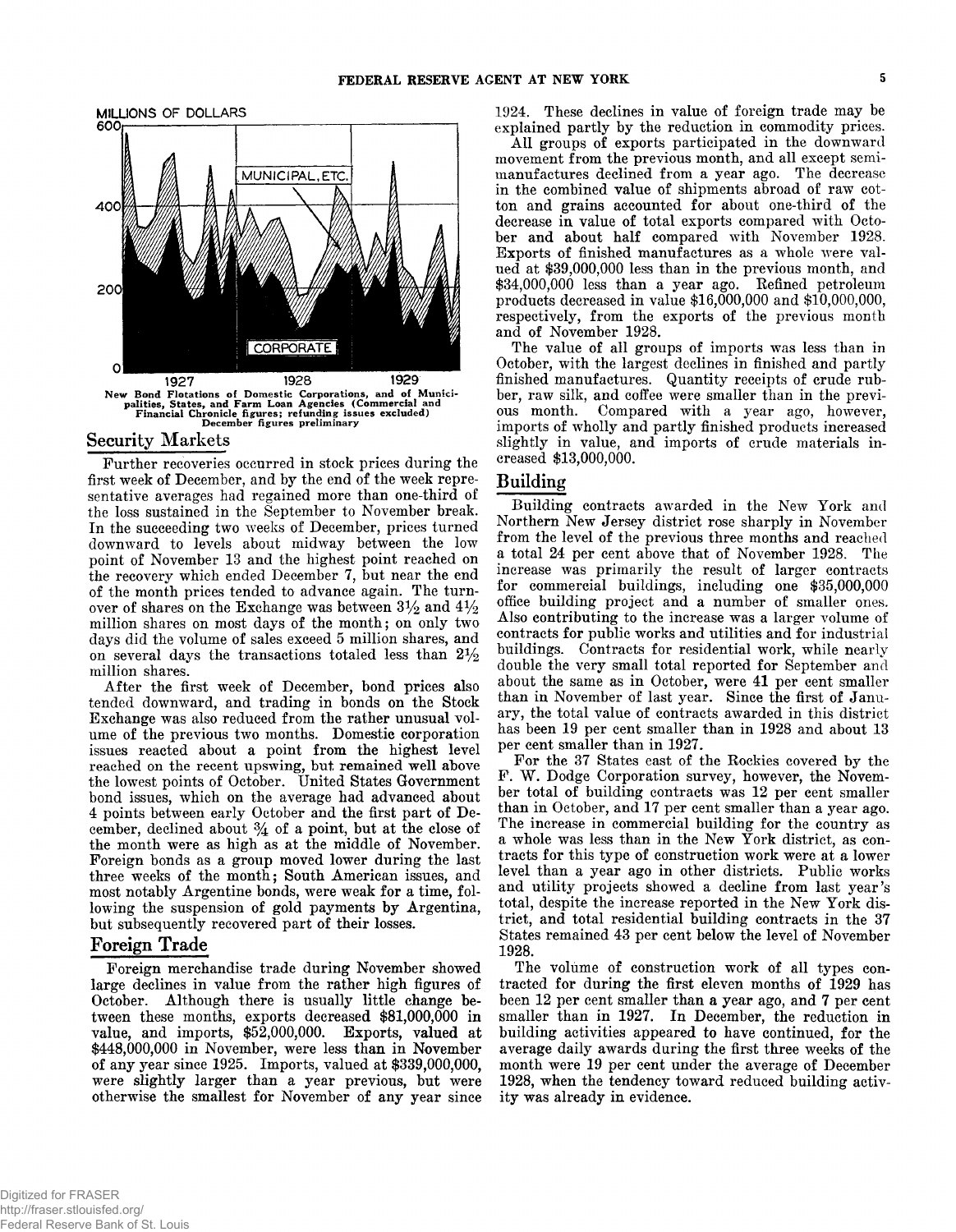

#### **Security Markets**

**Further recoveries occurred in stock prices during the first week of December, and by the end of the week representative averages had regained more than one-third of the loss sustained in the September to November break. In the succeeding two weeks of December, prices turned downward to levels about midway between the low point of November 13 and the highest point reached on the recovery which ended December 7, but near the end of the month prices tended to advance again. The turn**over of shares on the Exchange was between  $3\frac{1}{2}$  and  $4\frac{1}{2}$ **million shares on most days of the month; on only two days did the volume of sales exceed 5 million shares, and** on several days the transactions totaled less than  $2\frac{1}{2}$ **million shares.**

**After the first week of December, bond prices also tended downward, and trading in bonds on the Stock Exchange was also reduced from the rather unusual volume of the previous two months. Domestic corporation issues reacted about a point from the highest level reached on the recent upswing, but remained well above the lowest points of October. United States Government bond issues, which on the average had advanced about 4 points between early October and the first part of De**cember, declined about  $\frac{3}{4}$  of a point, but at the close of **the month were as high as at the middle of November. Foreign bonds as a group moved lower during the last three weeks of the month; South American issues, and most notably Argentine bonds, were weak for a time, following the suspension of gold payments by Argentina, but subsequently recovered part of their losses.**

## **Foreign Trade**

**Foreign merchandise trade during November showed large declines in value from the rather high figures of October. Although there is usually little change between these months, exports decreased \$81,000,000 in value, and imports, \$52,000,000. Exports, valued at \$448,000,000 in November, were less than in November of any year since 1925. Imports, valued at \$339,000,000, were slightly larger than a year previous, but were otherwise the smallest for November of any year since**

**1924. These declines in value of foreign trade may be explained partly by the reduction in commodity prices.**

**All groups of exports participated in the downward movement from the previous month, and all except semimanufactures declined from a year ago. The decrease in the combined value of shipments abroad of raw cotton and grains accounted for about one-third of the decrease in value of total exports compared with October and about half compared with November 1928. Exports of finished manufactures as a whole were valued at \$39,000,000 less than in the previous month, and \$34,000,000 less than a year ago. Refined petroleum products decreased in value \$16,000,000 and \$10,000,000, respectively, from the exports of the previous month and of November 1928.**

**The value of all groups of imports was less than in October, with the largest declines in finished and partly finished manufactures. Quantity receipts of crude rubber, raw silk, and coffee were smaller than in the previous month. Compared with a year ago, however, imports of wholly and partly finished products increased slightly in value, and imports of crude materials increased \$13,000,000.**

# **Building**

**Building contracts awarded in the New York and Northern New Jersey district rose sharply in November from the level of the previous three months and reached a total 24 per cent above that of November 1928. The increase was primarily the result of larger contracts for commercial buildings, including one \$35,000,000 office building project and a number of smaller ones. Also contributing to the increase was a larger volume of contracts for public works and utilities and for industrial buildings. Contracts for residential work, while nearly double the very small total reported for September and about the same as in October, were 41 per cent smaller than in November of last year. Since the first of January, the total value of contracts awarded in this district has been 19 per cent smaller than in 1928 and about 13 per cent smaller than in 1927.**

**For the 37 States east of the Rockies covered by the** F. W. Dodge Corporation survey, however, the Novem**ber total of building contracts was 12 per cent smaller than in October, and 17 per cent smaller than a year ago. The increase in commercial building for the country as a whole was less than in the New York district, as contracts for this type of construction work were at a lower level than a year ago in other districts. Public works and utility projects showed a decline from last year's total, despite the increase reported in the New York district, and total residential building contracts in the 37 States remained 43 per cent below the level of November 1928.**

**The volume of construction work of all types contracted for during the first eleven months of 1929 has been 12 per cent smaller than a year ago, and 7 per cent smaller than in 1927. In December, the reduction in building activities appeared to have continued, for the average daily awards during the first three weeks of the month were 19 per cent under the average of December 1928, when the tendency toward reduced building activity was already in evidence.**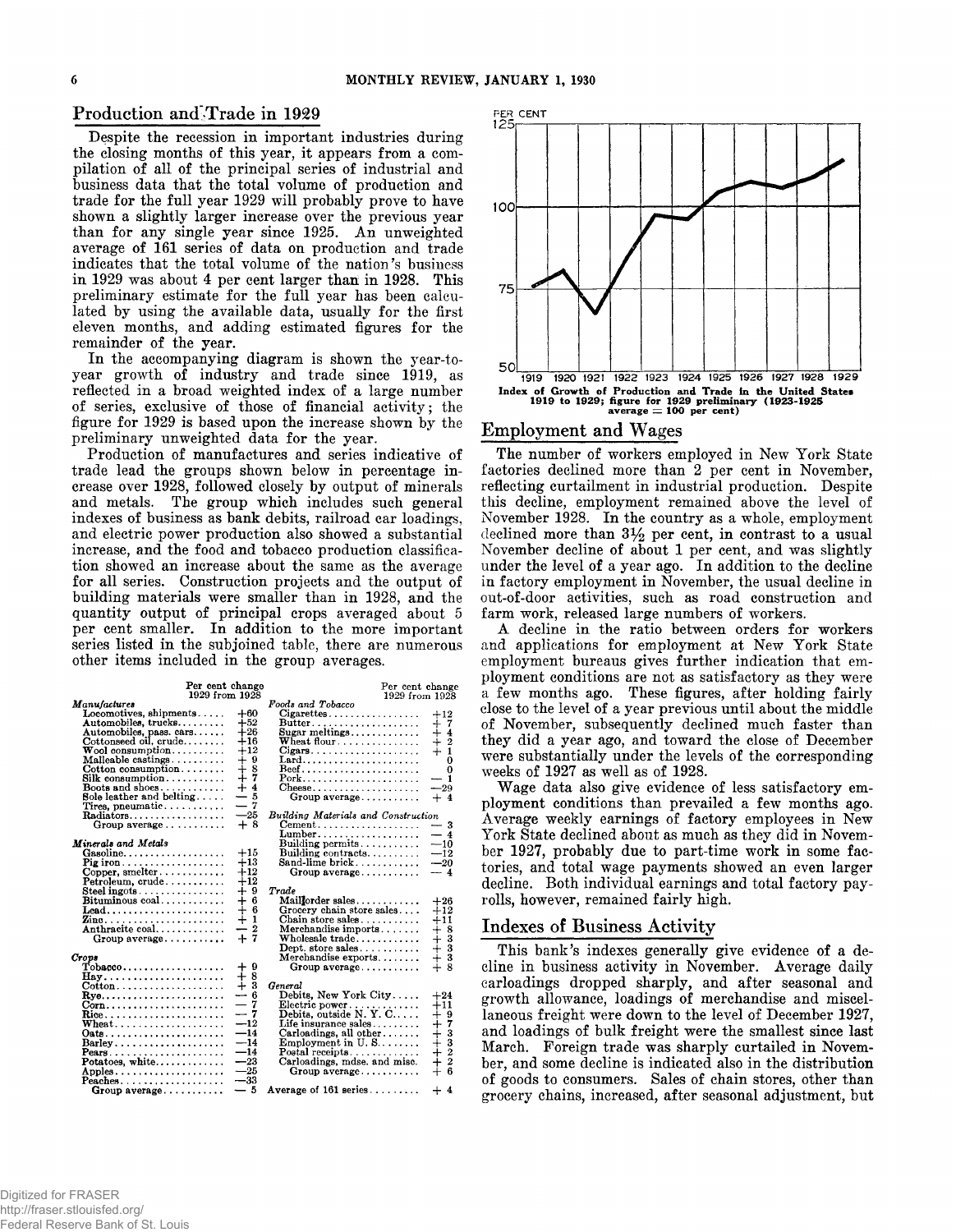## Production and Trade in 1929

**Despite the recession in important industries during the closing months of this year, it appears from a compilation of all of the principal series of industrial and business data that the total volume of production and trade for the full year 1929 will probably prove to have shown a slightly larger increase over the previous year than for any single year since 1925. An unweighted average of 161 series of data on production and trade indicates that the total volume of the nation's business in 1929 was about 4 per cent larger than in 1928. This preliminary estimate for the full year has been calculated by using the available data, usually for the first eleven months, and adding estimated figures for the remainder of the year.**

**In the accompanying diagram is shown the year-toyear growth of industry and trade since 1919, as reflected in a broad weighted index of a large number of series, exclusive of those of financial activity; the figure for 1929 is based upon the increase shown by the preliminary unweighted data for the year.**

**Production of manufactures and series indicative of trade lead the groups shown below in percentage increase over 1928, followed closely by output of minerals and metals. The group which includes such general indexes of business as bank debits, railroad car loadings, and electric power production also showed a substantial increase, and the food and tobacco production classification showed an increase about the same as the average for all series. Construction projects and the output of building materials were smaller than in 1928, and the quantity output of principal crops averaged about 5 per cent smaller. In addition to the more important series listed in the subjoined table, there are numerous other items included in thei group averages.**

| 1929 from 1928<br>Foods and Tobacco<br><i>Manufactures</i><br>Locomotives, shipments<br>$+60$<br>$Cigare ttes. \ldots \ldots \ldots \ldots \ldots$<br>$+12$<br>Automobiles, trucks<br>$+52$<br>$Butter. \ldots \ldots \ldots \ldots \ldots$<br>$+7$<br>$+4$<br>$+26$<br>Automobiles, pass. cars<br>Sugar meltings<br>$+16$<br>$\frac{1}{+}$ $\frac{2}{1}$<br>$Cott$ onseed oil, crude<br>Wheat flour<br>$+12$<br>$\mathbf{W}$ ool consumption<br>$Cigars \ldots \ldots \ldots \ldots \ldots \ldots$<br>$+9$<br>Malleable castings<br>Lard<br>O<br>$+8$<br>$\text{Cotton consumption} \dots \dots$<br>$\Omega$<br>$+7$<br>$Silk$ consumption<br>Pork<br>— 1<br>$+4$<br>Boots and shoes<br>$\text{Cheese} \dots \dots \dots \dots \dots \dots \dots$<br>$-29$<br>— 5<br>Sole leather and belting<br>$Group\ average$<br>$+$ 4<br>$-7$<br>Tires, pneumatic<br>$-25$<br>Building Materials and Construction<br>Radiators<br>Group average $\dots\dots\dots$<br>$+8$<br>$\mathbf{Cement.}\dots\dots\dots\dots\dots\dots\dots$<br>$-3$<br>$-4$<br>$Lumber. \ldots \ldots \ldots \ldots \ldots$<br>Minerals and Metals<br>Building permits<br>$-10$<br>$+15$<br>Building contracts<br>$-12$<br>$+13$<br>Sand-lime brick<br>$-20$<br>$\Pr$ giron<br>$+12$<br>$Copper$ , smelter<br>$-4$<br>Group average<br>$+12$<br>$Petroleum, crude. \ldots \ldots \ldots$<br>$+9$<br>Trade<br>Steel ingots. $\dots\dots\dots\dots\dots$<br>$+6$<br>$Bituminous coal.\dots\dots\dots\dots$<br>Maillorder sales<br>$+26$<br>$\dotplus$<br>-6<br>Grocery chain store sales<br>$+12$<br>Lead<br>$\mathbf{1}$<br>$^{+}$<br>Chain store sales<br>$+11$<br>$\boldsymbol{2}$<br>Anthracite coal<br>-<br>Merchandise imports<br>$+8$<br>$+7$<br>$+ +$<br>$+$<br>$+$<br>$+$<br><br>$+$<br><br><br><br><br><br><br><br><br><br><br><br><br><br><br><br>$Wholecale trade. \ldots \ldots \ldots$<br>$Group\ average \ldots$<br>Dept. store sales<br>Merchandise exports<br>Crove<br>$+9$<br>$\text{Tobase} \ldots \ldots \ldots \ldots \ldots$<br>Group average<br>8<br>$\div$<br>$\mathbf{Hay}$<br>$+3$<br>General<br>$\cot \theta$<br>-6<br>Debits, New York City<br>$\overline{\phantom{a}}$<br>$+24$<br>$\qquad \qquad -$<br>7<br>Electric power<br>Debits, outside N.Y.C<br>$+11$<br>Corn<br>$-7$<br>$^{+}_{+}$ + $^{+}_{+}$ + $^{+}_{+}$ + $^{+}_{+}$ + $^{+}_{+}$ + $^{+}_{+}$ + $^{+}_{-}$ + $^{+}_{-}$ + $^{+}_{-}$ + $^{+}_{-}$ + $^{+}_{-}$ + $^{+}_{-}$ + $^{+}_{-}$ + $^{+}_{-}$ + $^{+}_{-}$ + $^{+}_{-}$ + $^{+}_{-}$ + $^{+}_{-}$ + $^{+}_{-}$ + $^{+}_{-}$ + $^{+}_{-}$ + $^{+}_{-}$ +<br>$-12$<br>Life insurance sales $\dots \dots$<br>Wheat | Per cent change | Per cent change |
|--------------------------------------------------------------------------------------------------------------------------------------------------------------------------------------------------------------------------------------------------------------------------------------------------------------------------------------------------------------------------------------------------------------------------------------------------------------------------------------------------------------------------------------------------------------------------------------------------------------------------------------------------------------------------------------------------------------------------------------------------------------------------------------------------------------------------------------------------------------------------------------------------------------------------------------------------------------------------------------------------------------------------------------------------------------------------------------------------------------------------------------------------------------------------------------------------------------------------------------------------------------------------------------------------------------------------------------------------------------------------------------------------------------------------------------------------------------------------------------------------------------------------------------------------------------------------------------------------------------------------------------------------------------------------------------------------------------------------------------------------------------------------------------------------------------------------------------------------------------------------------------------------------------------------------------------------------------------------------------------------------------------------------------------------------------------------------------------------------------------------------------------------------------------------------------------------------------------------------------------------------------------------------------------------------------------------------------------------------------------------------------------------------------------------------------------------------------------------------------------------------------------------------------------------------------------------------------------------------------------------------|-----------------|-----------------|
|                                                                                                                                                                                                                                                                                                                                                                                                                                                                                                                                                                                                                                                                                                                                                                                                                                                                                                                                                                                                                                                                                                                                                                                                                                                                                                                                                                                                                                                                                                                                                                                                                                                                                                                                                                                                                                                                                                                                                                                                                                                                                                                                                                                                                                                                                                                                                                                                                                                                                                                                                                                                                                | 1929 from 1928  |                 |
|                                                                                                                                                                                                                                                                                                                                                                                                                                                                                                                                                                                                                                                                                                                                                                                                                                                                                                                                                                                                                                                                                                                                                                                                                                                                                                                                                                                                                                                                                                                                                                                                                                                                                                                                                                                                                                                                                                                                                                                                                                                                                                                                                                                                                                                                                                                                                                                                                                                                                                                                                                                                                                |                 |                 |
|                                                                                                                                                                                                                                                                                                                                                                                                                                                                                                                                                                                                                                                                                                                                                                                                                                                                                                                                                                                                                                                                                                                                                                                                                                                                                                                                                                                                                                                                                                                                                                                                                                                                                                                                                                                                                                                                                                                                                                                                                                                                                                                                                                                                                                                                                                                                                                                                                                                                                                                                                                                                                                |                 |                 |
|                                                                                                                                                                                                                                                                                                                                                                                                                                                                                                                                                                                                                                                                                                                                                                                                                                                                                                                                                                                                                                                                                                                                                                                                                                                                                                                                                                                                                                                                                                                                                                                                                                                                                                                                                                                                                                                                                                                                                                                                                                                                                                                                                                                                                                                                                                                                                                                                                                                                                                                                                                                                                                |                 |                 |
|                                                                                                                                                                                                                                                                                                                                                                                                                                                                                                                                                                                                                                                                                                                                                                                                                                                                                                                                                                                                                                                                                                                                                                                                                                                                                                                                                                                                                                                                                                                                                                                                                                                                                                                                                                                                                                                                                                                                                                                                                                                                                                                                                                                                                                                                                                                                                                                                                                                                                                                                                                                                                                |                 |                 |
|                                                                                                                                                                                                                                                                                                                                                                                                                                                                                                                                                                                                                                                                                                                                                                                                                                                                                                                                                                                                                                                                                                                                                                                                                                                                                                                                                                                                                                                                                                                                                                                                                                                                                                                                                                                                                                                                                                                                                                                                                                                                                                                                                                                                                                                                                                                                                                                                                                                                                                                                                                                                                                |                 |                 |
|                                                                                                                                                                                                                                                                                                                                                                                                                                                                                                                                                                                                                                                                                                                                                                                                                                                                                                                                                                                                                                                                                                                                                                                                                                                                                                                                                                                                                                                                                                                                                                                                                                                                                                                                                                                                                                                                                                                                                                                                                                                                                                                                                                                                                                                                                                                                                                                                                                                                                                                                                                                                                                |                 |                 |
|                                                                                                                                                                                                                                                                                                                                                                                                                                                                                                                                                                                                                                                                                                                                                                                                                                                                                                                                                                                                                                                                                                                                                                                                                                                                                                                                                                                                                                                                                                                                                                                                                                                                                                                                                                                                                                                                                                                                                                                                                                                                                                                                                                                                                                                                                                                                                                                                                                                                                                                                                                                                                                |                 |                 |
|                                                                                                                                                                                                                                                                                                                                                                                                                                                                                                                                                                                                                                                                                                                                                                                                                                                                                                                                                                                                                                                                                                                                                                                                                                                                                                                                                                                                                                                                                                                                                                                                                                                                                                                                                                                                                                                                                                                                                                                                                                                                                                                                                                                                                                                                                                                                                                                                                                                                                                                                                                                                                                |                 |                 |
|                                                                                                                                                                                                                                                                                                                                                                                                                                                                                                                                                                                                                                                                                                                                                                                                                                                                                                                                                                                                                                                                                                                                                                                                                                                                                                                                                                                                                                                                                                                                                                                                                                                                                                                                                                                                                                                                                                                                                                                                                                                                                                                                                                                                                                                                                                                                                                                                                                                                                                                                                                                                                                |                 |                 |
|                                                                                                                                                                                                                                                                                                                                                                                                                                                                                                                                                                                                                                                                                                                                                                                                                                                                                                                                                                                                                                                                                                                                                                                                                                                                                                                                                                                                                                                                                                                                                                                                                                                                                                                                                                                                                                                                                                                                                                                                                                                                                                                                                                                                                                                                                                                                                                                                                                                                                                                                                                                                                                |                 |                 |
|                                                                                                                                                                                                                                                                                                                                                                                                                                                                                                                                                                                                                                                                                                                                                                                                                                                                                                                                                                                                                                                                                                                                                                                                                                                                                                                                                                                                                                                                                                                                                                                                                                                                                                                                                                                                                                                                                                                                                                                                                                                                                                                                                                                                                                                                                                                                                                                                                                                                                                                                                                                                                                |                 |                 |
|                                                                                                                                                                                                                                                                                                                                                                                                                                                                                                                                                                                                                                                                                                                                                                                                                                                                                                                                                                                                                                                                                                                                                                                                                                                                                                                                                                                                                                                                                                                                                                                                                                                                                                                                                                                                                                                                                                                                                                                                                                                                                                                                                                                                                                                                                                                                                                                                                                                                                                                                                                                                                                |                 |                 |
|                                                                                                                                                                                                                                                                                                                                                                                                                                                                                                                                                                                                                                                                                                                                                                                                                                                                                                                                                                                                                                                                                                                                                                                                                                                                                                                                                                                                                                                                                                                                                                                                                                                                                                                                                                                                                                                                                                                                                                                                                                                                                                                                                                                                                                                                                                                                                                                                                                                                                                                                                                                                                                |                 |                 |
|                                                                                                                                                                                                                                                                                                                                                                                                                                                                                                                                                                                                                                                                                                                                                                                                                                                                                                                                                                                                                                                                                                                                                                                                                                                                                                                                                                                                                                                                                                                                                                                                                                                                                                                                                                                                                                                                                                                                                                                                                                                                                                                                                                                                                                                                                                                                                                                                                                                                                                                                                                                                                                |                 |                 |
|                                                                                                                                                                                                                                                                                                                                                                                                                                                                                                                                                                                                                                                                                                                                                                                                                                                                                                                                                                                                                                                                                                                                                                                                                                                                                                                                                                                                                                                                                                                                                                                                                                                                                                                                                                                                                                                                                                                                                                                                                                                                                                                                                                                                                                                                                                                                                                                                                                                                                                                                                                                                                                |                 |                 |
|                                                                                                                                                                                                                                                                                                                                                                                                                                                                                                                                                                                                                                                                                                                                                                                                                                                                                                                                                                                                                                                                                                                                                                                                                                                                                                                                                                                                                                                                                                                                                                                                                                                                                                                                                                                                                                                                                                                                                                                                                                                                                                                                                                                                                                                                                                                                                                                                                                                                                                                                                                                                                                |                 |                 |
|                                                                                                                                                                                                                                                                                                                                                                                                                                                                                                                                                                                                                                                                                                                                                                                                                                                                                                                                                                                                                                                                                                                                                                                                                                                                                                                                                                                                                                                                                                                                                                                                                                                                                                                                                                                                                                                                                                                                                                                                                                                                                                                                                                                                                                                                                                                                                                                                                                                                                                                                                                                                                                |                 |                 |
|                                                                                                                                                                                                                                                                                                                                                                                                                                                                                                                                                                                                                                                                                                                                                                                                                                                                                                                                                                                                                                                                                                                                                                                                                                                                                                                                                                                                                                                                                                                                                                                                                                                                                                                                                                                                                                                                                                                                                                                                                                                                                                                                                                                                                                                                                                                                                                                                                                                                                                                                                                                                                                |                 |                 |
|                                                                                                                                                                                                                                                                                                                                                                                                                                                                                                                                                                                                                                                                                                                                                                                                                                                                                                                                                                                                                                                                                                                                                                                                                                                                                                                                                                                                                                                                                                                                                                                                                                                                                                                                                                                                                                                                                                                                                                                                                                                                                                                                                                                                                                                                                                                                                                                                                                                                                                                                                                                                                                |                 |                 |
|                                                                                                                                                                                                                                                                                                                                                                                                                                                                                                                                                                                                                                                                                                                                                                                                                                                                                                                                                                                                                                                                                                                                                                                                                                                                                                                                                                                                                                                                                                                                                                                                                                                                                                                                                                                                                                                                                                                                                                                                                                                                                                                                                                                                                                                                                                                                                                                                                                                                                                                                                                                                                                |                 |                 |
|                                                                                                                                                                                                                                                                                                                                                                                                                                                                                                                                                                                                                                                                                                                                                                                                                                                                                                                                                                                                                                                                                                                                                                                                                                                                                                                                                                                                                                                                                                                                                                                                                                                                                                                                                                                                                                                                                                                                                                                                                                                                                                                                                                                                                                                                                                                                                                                                                                                                                                                                                                                                                                |                 |                 |
|                                                                                                                                                                                                                                                                                                                                                                                                                                                                                                                                                                                                                                                                                                                                                                                                                                                                                                                                                                                                                                                                                                                                                                                                                                                                                                                                                                                                                                                                                                                                                                                                                                                                                                                                                                                                                                                                                                                                                                                                                                                                                                                                                                                                                                                                                                                                                                                                                                                                                                                                                                                                                                |                 |                 |
|                                                                                                                                                                                                                                                                                                                                                                                                                                                                                                                                                                                                                                                                                                                                                                                                                                                                                                                                                                                                                                                                                                                                                                                                                                                                                                                                                                                                                                                                                                                                                                                                                                                                                                                                                                                                                                                                                                                                                                                                                                                                                                                                                                                                                                                                                                                                                                                                                                                                                                                                                                                                                                |                 |                 |
|                                                                                                                                                                                                                                                                                                                                                                                                                                                                                                                                                                                                                                                                                                                                                                                                                                                                                                                                                                                                                                                                                                                                                                                                                                                                                                                                                                                                                                                                                                                                                                                                                                                                                                                                                                                                                                                                                                                                                                                                                                                                                                                                                                                                                                                                                                                                                                                                                                                                                                                                                                                                                                |                 |                 |
|                                                                                                                                                                                                                                                                                                                                                                                                                                                                                                                                                                                                                                                                                                                                                                                                                                                                                                                                                                                                                                                                                                                                                                                                                                                                                                                                                                                                                                                                                                                                                                                                                                                                                                                                                                                                                                                                                                                                                                                                                                                                                                                                                                                                                                                                                                                                                                                                                                                                                                                                                                                                                                |                 |                 |
|                                                                                                                                                                                                                                                                                                                                                                                                                                                                                                                                                                                                                                                                                                                                                                                                                                                                                                                                                                                                                                                                                                                                                                                                                                                                                                                                                                                                                                                                                                                                                                                                                                                                                                                                                                                                                                                                                                                                                                                                                                                                                                                                                                                                                                                                                                                                                                                                                                                                                                                                                                                                                                |                 |                 |
|                                                                                                                                                                                                                                                                                                                                                                                                                                                                                                                                                                                                                                                                                                                                                                                                                                                                                                                                                                                                                                                                                                                                                                                                                                                                                                                                                                                                                                                                                                                                                                                                                                                                                                                                                                                                                                                                                                                                                                                                                                                                                                                                                                                                                                                                                                                                                                                                                                                                                                                                                                                                                                |                 |                 |
|                                                                                                                                                                                                                                                                                                                                                                                                                                                                                                                                                                                                                                                                                                                                                                                                                                                                                                                                                                                                                                                                                                                                                                                                                                                                                                                                                                                                                                                                                                                                                                                                                                                                                                                                                                                                                                                                                                                                                                                                                                                                                                                                                                                                                                                                                                                                                                                                                                                                                                                                                                                                                                |                 |                 |
|                                                                                                                                                                                                                                                                                                                                                                                                                                                                                                                                                                                                                                                                                                                                                                                                                                                                                                                                                                                                                                                                                                                                                                                                                                                                                                                                                                                                                                                                                                                                                                                                                                                                                                                                                                                                                                                                                                                                                                                                                                                                                                                                                                                                                                                                                                                                                                                                                                                                                                                                                                                                                                |                 |                 |
|                                                                                                                                                                                                                                                                                                                                                                                                                                                                                                                                                                                                                                                                                                                                                                                                                                                                                                                                                                                                                                                                                                                                                                                                                                                                                                                                                                                                                                                                                                                                                                                                                                                                                                                                                                                                                                                                                                                                                                                                                                                                                                                                                                                                                                                                                                                                                                                                                                                                                                                                                                                                                                |                 |                 |
|                                                                                                                                                                                                                                                                                                                                                                                                                                                                                                                                                                                                                                                                                                                                                                                                                                                                                                                                                                                                                                                                                                                                                                                                                                                                                                                                                                                                                                                                                                                                                                                                                                                                                                                                                                                                                                                                                                                                                                                                                                                                                                                                                                                                                                                                                                                                                                                                                                                                                                                                                                                                                                |                 |                 |
|                                                                                                                                                                                                                                                                                                                                                                                                                                                                                                                                                                                                                                                                                                                                                                                                                                                                                                                                                                                                                                                                                                                                                                                                                                                                                                                                                                                                                                                                                                                                                                                                                                                                                                                                                                                                                                                                                                                                                                                                                                                                                                                                                                                                                                                                                                                                                                                                                                                                                                                                                                                                                                |                 |                 |
|                                                                                                                                                                                                                                                                                                                                                                                                                                                                                                                                                                                                                                                                                                                                                                                                                                                                                                                                                                                                                                                                                                                                                                                                                                                                                                                                                                                                                                                                                                                                                                                                                                                                                                                                                                                                                                                                                                                                                                                                                                                                                                                                                                                                                                                                                                                                                                                                                                                                                                                                                                                                                                |                 |                 |
|                                                                                                                                                                                                                                                                                                                                                                                                                                                                                                                                                                                                                                                                                                                                                                                                                                                                                                                                                                                                                                                                                                                                                                                                                                                                                                                                                                                                                                                                                                                                                                                                                                                                                                                                                                                                                                                                                                                                                                                                                                                                                                                                                                                                                                                                                                                                                                                                                                                                                                                                                                                                                                |                 |                 |
|                                                                                                                                                                                                                                                                                                                                                                                                                                                                                                                                                                                                                                                                                                                                                                                                                                                                                                                                                                                                                                                                                                                                                                                                                                                                                                                                                                                                                                                                                                                                                                                                                                                                                                                                                                                                                                                                                                                                                                                                                                                                                                                                                                                                                                                                                                                                                                                                                                                                                                                                                                                                                                |                 |                 |
|                                                                                                                                                                                                                                                                                                                                                                                                                                                                                                                                                                                                                                                                                                                                                                                                                                                                                                                                                                                                                                                                                                                                                                                                                                                                                                                                                                                                                                                                                                                                                                                                                                                                                                                                                                                                                                                                                                                                                                                                                                                                                                                                                                                                                                                                                                                                                                                                                                                                                                                                                                                                                                |                 |                 |
|                                                                                                                                                                                                                                                                                                                                                                                                                                                                                                                                                                                                                                                                                                                                                                                                                                                                                                                                                                                                                                                                                                                                                                                                                                                                                                                                                                                                                                                                                                                                                                                                                                                                                                                                                                                                                                                                                                                                                                                                                                                                                                                                                                                                                                                                                                                                                                                                                                                                                                                                                                                                                                |                 |                 |
| $-14$<br>$Carloadings, all other$<br>$0$ ats                                                                                                                                                                                                                                                                                                                                                                                                                                                                                                                                                                                                                                                                                                                                                                                                                                                                                                                                                                                                                                                                                                                                                                                                                                                                                                                                                                                                                                                                                                                                                                                                                                                                                                                                                                                                                                                                                                                                                                                                                                                                                                                                                                                                                                                                                                                                                                                                                                                                                                                                                                                   |                 |                 |
| $-14$<br>Employment in $U. S. \ldots$<br>Barley                                                                                                                                                                                                                                                                                                                                                                                                                                                                                                                                                                                                                                                                                                                                                                                                                                                                                                                                                                                                                                                                                                                                                                                                                                                                                                                                                                                                                                                                                                                                                                                                                                                                                                                                                                                                                                                                                                                                                                                                                                                                                                                                                                                                                                                                                                                                                                                                                                                                                                                                                                                |                 |                 |
| $-14$<br>Postal receipts<br>Pears                                                                                                                                                                                                                                                                                                                                                                                                                                                                                                                                                                                                                                                                                                                                                                                                                                                                                                                                                                                                                                                                                                                                                                                                                                                                                                                                                                                                                                                                                                                                                                                                                                                                                                                                                                                                                                                                                                                                                                                                                                                                                                                                                                                                                                                                                                                                                                                                                                                                                                                                                                                              |                 |                 |
| Carloadings, mdse. and misc.<br>$-23$<br>Potatoes, white                                                                                                                                                                                                                                                                                                                                                                                                                                                                                                                                                                                                                                                                                                                                                                                                                                                                                                                                                                                                                                                                                                                                                                                                                                                                                                                                                                                                                                                                                                                                                                                                                                                                                                                                                                                                                                                                                                                                                                                                                                                                                                                                                                                                                                                                                                                                                                                                                                                                                                                                                                       |                 |                 |
| $-25$<br>Apples<br>Group $average \ldots \ldots \ldots$                                                                                                                                                                                                                                                                                                                                                                                                                                                                                                                                                                                                                                                                                                                                                                                                                                                                                                                                                                                                                                                                                                                                                                                                                                                                                                                                                                                                                                                                                                                                                                                                                                                                                                                                                                                                                                                                                                                                                                                                                                                                                                                                                                                                                                                                                                                                                                                                                                                                                                                                                                        |                 |                 |
| $-33$<br>$Peaches \ldots \ldots \ldots \ldots \ldots$                                                                                                                                                                                                                                                                                                                                                                                                                                                                                                                                                                                                                                                                                                                                                                                                                                                                                                                                                                                                                                                                                                                                                                                                                                                                                                                                                                                                                                                                                                                                                                                                                                                                                                                                                                                                                                                                                                                                                                                                                                                                                                                                                                                                                                                                                                                                                                                                                                                                                                                                                                          |                 |                 |
| $-5$<br>Average of $161$ series<br>$+4$<br>Group average                                                                                                                                                                                                                                                                                                                                                                                                                                                                                                                                                                                                                                                                                                                                                                                                                                                                                                                                                                                                                                                                                                                                                                                                                                                                                                                                                                                                                                                                                                                                                                                                                                                                                                                                                                                                                                                                                                                                                                                                                                                                                                                                                                                                                                                                                                                                                                                                                                                                                                                                                                       |                 |                 |



# **Employment and Wages**

**The number of workers employed in New York State factories declined more than 2 per cent in November, reflecting curtailment in industrial production. Despite this decline, employment remained above the level of November 1928. In the country as a whole, employment** declined more than  $3\frac{1}{2}$  per cent, in contrast to a usual **November decline of about 1 per cent, and was slightly under the level of a year ago. In addition to the decline in factory employment in November, the usual decline in out-of-door activities, such as road construction and farm work, released large numbers of workers.**

**A decline in the ratio between orders for workers and applications for employment at New York State employment bureaus gives further indication that employment conditions are not as satisfactory as they were a few months ago. These figures, after holding fairly close to the level of a year previous until about the middle of November, subsequently declined much faster than they did a year ago, and toward the close of December were substantially under the levels of the corresponding weeks of 1927 as well as of 1928.**

**Wage data also give evidence of less satisfactory employment conditions than prevailed a few months ago. Average weekly earnings of factory employees in New York State declined about as much as they did in November 1927, probably due to part-time work in some factories, and total wage payments showed an even larger decline. Both individual earnings and total factory payrolls, however, remained fairly high.**

# Indexes of Business Activity

**This bank's indexes generally give evidence of a decline in business activity in November. Average daily carloadings dropped sharply, and after seasonal and growth allowance, loadings of merchandise and miscellaneous freight were down to the level of December 1927, and loadings of bulk freight were the smallest since last March. Foreign trade was sharply curtailed in November, and some decline is indicated also in the distribution of goods to consumers. Sales of chain stores, other than grocery chains, increased, after seasonal adjustment, but**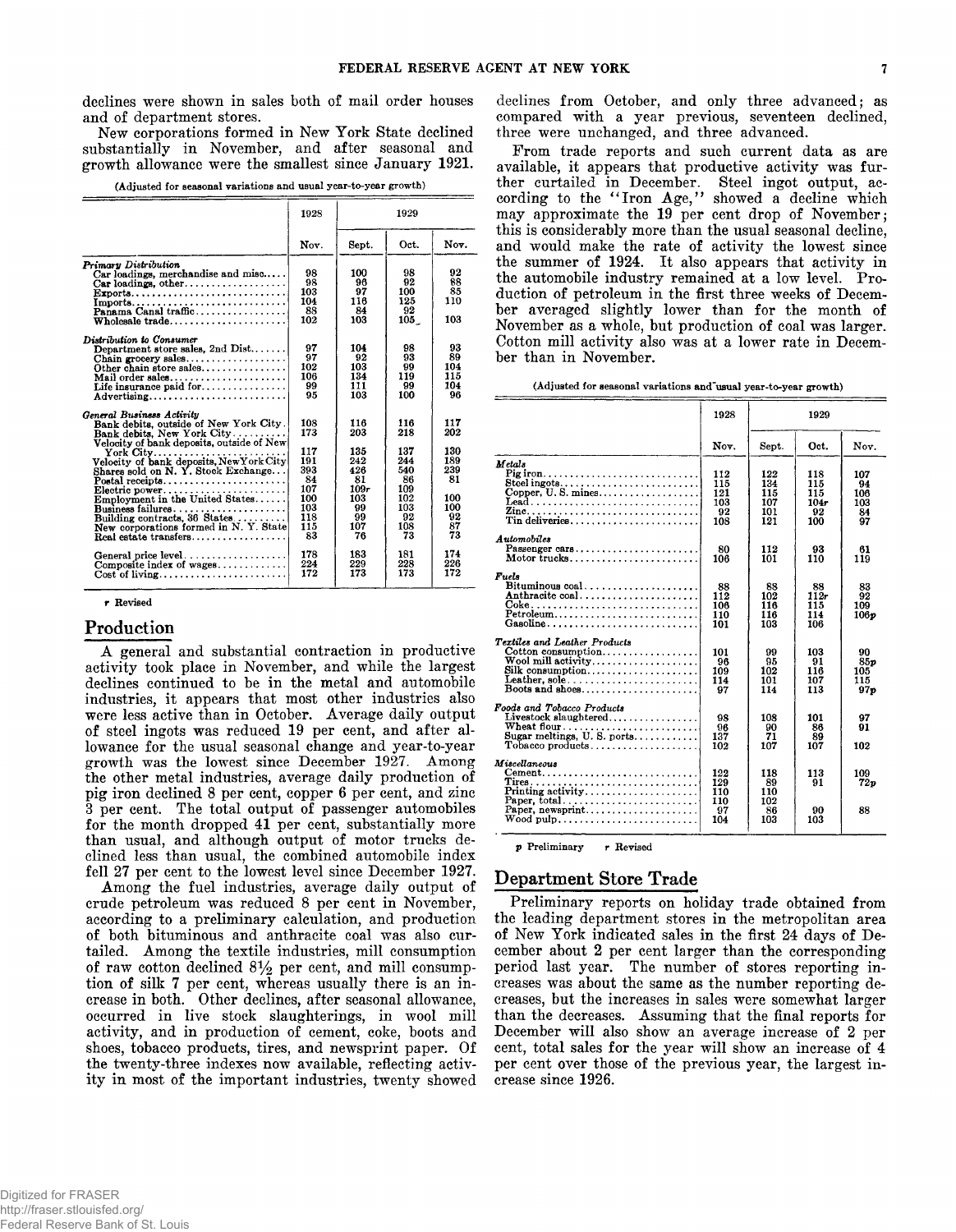**declines were shown in sales both of mail order houses and of department stores.**

**New corporations formed in New York State declined substantially in November, and after seasonal and growth allowance were the smallest since January 1921.**

**(Adjusted for seasonal variations and usual year-to-year growth)**

|                                                                                                                                                                                                                                                                                                                                                                                                       | 1928                                                                           | 1929                                                                          |                                                                               |                                                                       |
|-------------------------------------------------------------------------------------------------------------------------------------------------------------------------------------------------------------------------------------------------------------------------------------------------------------------------------------------------------------------------------------------------------|--------------------------------------------------------------------------------|-------------------------------------------------------------------------------|-------------------------------------------------------------------------------|-----------------------------------------------------------------------|
|                                                                                                                                                                                                                                                                                                                                                                                                       | Nov.                                                                           | Sept.                                                                         | Oct.                                                                          | Nov.                                                                  |
| <b>Primary Distribution</b><br>$Car$ loadings, merchandise and misc<br>$Car$ loadings, other<br>Exports<br>Imports<br>Panama Canal traffic<br>Wholesale trade                                                                                                                                                                                                                                         | 98<br>98<br>103<br>104<br>88<br>102                                            | 100<br>96<br>97<br>116<br>84<br>103                                           | 98<br>92<br>100<br>125<br>92<br>105                                           | 92<br>88<br>85<br>110<br>103                                          |
| Distribution to Consumer<br>Department store sales, 2nd $Dist$<br>Chain grocery sales<br>Other chain store sales<br>Mail order sales<br>Life insurance paid for<br>Advertising                                                                                                                                                                                                                        | 97<br>97<br>102<br>106<br>99<br>95                                             | 104<br>92<br>103<br>134<br>111<br>103                                         | 98<br>93<br>99<br>119<br>99<br>100                                            | 93<br>89<br>104<br>115<br>104<br>96                                   |
| General Business Activity<br>Bank debits, outside of New York City.<br>Bank debits, New York City<br>Velocity of bank deposits, outside of New<br>York City<br>Velocity of bank deposits, New York City<br>Shares sold on N.Y. Stock Exchange<br>Electric power<br>Employment in the United States<br>Building contracts, 36 States<br>New corporations formed in N.Y. State<br>Real estate transfers | 108<br>173<br>117<br>191<br>393<br>84<br>107<br>100<br>103<br>118<br>115<br>83 | 116<br>203<br>135<br>242<br>426<br>81<br>109r<br>103<br>99<br>99<br>107<br>76 | 116<br>218<br>137<br>244<br>540<br>86<br>109<br>102<br>103<br>92<br>108<br>73 | 117<br>202<br>130<br>189<br>239<br>81<br>100<br>100<br>92<br>87<br>73 |
| General price level<br>Composite index of wages<br>$Cost of living \ldots \ldots \ldots \ldots \ldots$                                                                                                                                                                                                                                                                                                | 178<br>224<br>172                                                              | 183<br>229<br>173                                                             | 181<br>228<br>173                                                             | 174<br>226<br>172                                                     |

r **Revised**

#### **Production**

**A general and substantial contraction in productive activity took place in November, and while the largest declines continued to be in the metal and automobile industries, it appears that most other industries also were less active than in October. Average daily output of steel ingots was reduced 19 per cent, and after allowance for the usual seasonal change and year-to-year growth was the lowest since December 1927. Among the other metal industries, average daily production of pig iron declined 8 per cent, copper 6 per cent, and zinc 3 per cent. The total output of passenger automobiles for the month dropped 41 per cent, substantially more than usual, and although output of motor trucks declined less than usual, the combined automobile index fell 27 per cent to the lowest level since December 1927.**

**Among the fuel industries, average daily output of crude petroleum was reduced 8 per cent in November, according to a preliminary calculation, and production of both bituminous and anthracite coal was also curtailed. Among the textile industries, mill consumption** of raw cotton declined  $8\frac{1}{2}$  per cent, and mill consump**tion of silk 7 per cent, whereas usually there is an increase in both. Other declines, after seasonal allowance, occurred in live stock slaughterings, in wool mill activity, and in production of cement, coke, boots and shoes, tobacco products, tires, and newsprint paper. Of the twenty-three indexes now available, reflecting activity in most of the important industries, twenty showed** **declines from October, and only three advanced; as compared with a year previous, seventeen declined, three were unchanged, and three advanced.**

**From trade reports and such current data as are available, it appears that productive activity was further curtailed in December. Steel ingot output, ac**cording to the "Iron Age," showed a decline which **may approximate the 19 per cent drop of November ; this is considerably more than the usual seasonal decline, and would make the rate of activity the lowest since the summer of 1924. It also appears that activity in the automobile industry remained at a low level. Production of petroleum in the first three weeks of December averaged slightly lower than for the month of November as a whole, but production of coal was larger. Cotton mill activity also was at a lower rate in December than in November.**

**(Adjusted for seasonal variations and"usual year-to-year growth)**

|                                                                                                                                                                      | 1928                                  | 1929                                   |                                        |                                             |
|----------------------------------------------------------------------------------------------------------------------------------------------------------------------|---------------------------------------|----------------------------------------|----------------------------------------|---------------------------------------------|
|                                                                                                                                                                      | Nov.                                  | Sept.                                  | Oct.                                   | Nov.                                        |
| Metals<br>Steel ingots<br>Copper, $U$ . S. mines<br>$\text{Leaf} \dots \dots \dots \dots \dots \dots \dots \dots \dots \dots$<br>Zine<br>Tin deliveries              | 112<br>115<br>121<br>103<br>92<br>108 | 122<br>134<br>115<br>107<br>101<br>121 | 118<br>115<br>115<br>104r<br>92<br>100 | 107<br>94<br>106<br>103<br>84<br>97         |
| Automobiles<br>Passenger cars<br>Motor trucks                                                                                                                        | 80<br>106                             | 112<br>101                             | 93<br>110                              | 61<br>119                                   |
| Fuels<br>Bituminous $\text{coal.} \ldots \ldots \ldots \ldots \ldots$<br>Anthracite coal<br>$Petroleum \ldots \ldots \ldots \ldots \ldots \ldots \ldots$<br>Gasoline | 88<br>112<br>106<br>110<br>101        | 88<br>102<br>116<br>116<br>103         | 88<br>112r<br>115<br>114<br>106        | 83<br>92<br>109<br>106p                     |
| <b>Textiles and Leather Products</b><br>Cotton consumption<br>Wool mill activity<br>Silk consumption<br>Leather, sole<br>Boots and shoes                             | 101<br>98<br>109<br>114<br>97         | 99<br>95<br>102<br>101<br>114          | 103<br>91<br>116<br>107<br>113         | 90<br>85 <sub>v</sub><br>105<br>115<br>97 o |
| Foods and Tobacco Products<br>Livestock slaughtered<br>Wheat flour<br>Sugar meltings, $U. S.$ ports                                                                  | 98<br>96<br>137<br>102                | 108<br>90<br>71<br>107                 | 101<br>86<br>89<br>107                 | 97<br>91<br>102                             |
| Miscellaneous<br>$Cement. \ldots \ldots \ldots \ldots \ldots \ldots \ldots \ldots \ldots$<br>Paper, newsprint<br>$W$ ood pulp                                        | 122<br>129<br>110<br>110<br>97<br>104 | 118<br>89<br>110<br>102<br>86<br>103   | 113<br>91<br>90<br>103                 | 109<br>72 o<br>88                           |
|                                                                                                                                                                      |                                       |                                        |                                        |                                             |

**p Preliminary r Revised**

## **Department Store Trade**

**Preliminary reports on holiday trade obtained from the leading department stores in the metropolitan area of New York indicated sales in the first 24 days of December about 2 per cent larger than the corresponding period last year. The number of stores reporting increases was about the same as the number reporting decreases, but the increases in sales were somewhat larger than the decreases. Assuming that the final reports for December will also show an average increase of 2 per cent, total sales for the year will show an increase of 4 per cent over those of the previous year, the largest increase since 1926.**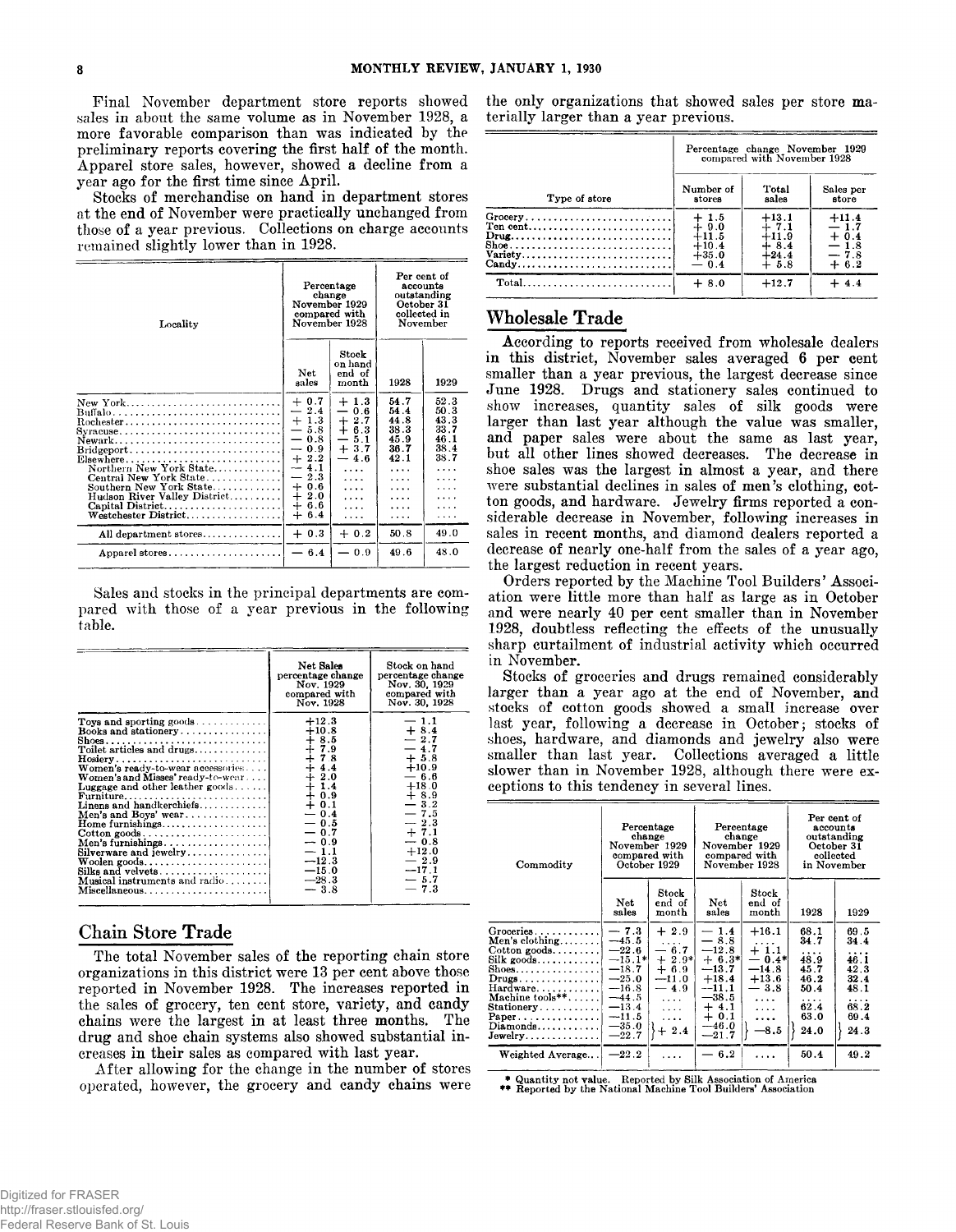**Final November department store reports showed sales in about the same volume as in November 1928, a more favorable comparison than was indicated by the preliminary reports covering the first half of the month. Apparel store sales, however, showed a decline from a year ago for the first time since April.**

**Stocks of merchandise on hand in department stores at the end of November were practically unchanged from those of a year previous. Collections on charge accounts remained slightly lower than in 1928.**

| Locality                                                                                                                                                                                                                                         | Percentage<br>change<br>November 1929<br>compared with<br>November 1928                                                                                                                             |                                                                                                | Per cent of<br>accounts<br>outstanding<br>October 31<br>collected in<br>November          |                                                           |
|--------------------------------------------------------------------------------------------------------------------------------------------------------------------------------------------------------------------------------------------------|-----------------------------------------------------------------------------------------------------------------------------------------------------------------------------------------------------|------------------------------------------------------------------------------------------------|-------------------------------------------------------------------------------------------|-----------------------------------------------------------|
|                                                                                                                                                                                                                                                  | Net<br>sales                                                                                                                                                                                        | Stock<br>on hand<br>end of<br>month                                                            | 1928                                                                                      | 1929                                                      |
| New York<br>Buffalo<br>Rochester<br>Syracuse<br>Newark<br>$Brid$ geport<br>Elsewhere<br>Northern New York State<br>Central New York State<br>Southern New York State<br>Hudson River Valley District<br>Capital District<br>Westchester District | $+0.7$<br>$-2.4$<br>$+1.3$<br>5.8<br>0.8<br>—<br>0.9<br>$\overbrace{\phantom{aaaaa}}$<br>$+2.2$<br>4.1<br>$\overline{\phantom{m}}$<br>$-2.3$<br>0.6<br>$+$<br>$+2.0$<br>$\div$<br>6.6<br>$+$<br>6.4 | $+1.3$<br>$-0.6$<br>$+2.7$<br>$+ 6.3$<br>$-5.1$<br>$+3.7$<br>$-4.6$<br>$\cdots$<br>.<br>.<br>. | 54.7<br>54.4<br>44.8<br>38.3<br>45.9<br>36.7<br>42.1<br>$\cdots$<br>.<br>.<br>.<br>.<br>. | 52.3<br>50.3<br>43.3<br>33.7<br>46.1<br>38.4<br>38.7<br>. |
| All department stores                                                                                                                                                                                                                            | $+0.3$                                                                                                                                                                                              | $+0.2$                                                                                         | 50.8                                                                                      | 49.0                                                      |
| Apparel stores                                                                                                                                                                                                                                   | $-6.4$                                                                                                                                                                                              | - 0.9                                                                                          | 49.6                                                                                      | 48.0                                                      |
|                                                                                                                                                                                                                                                  |                                                                                                                                                                                                     |                                                                                                |                                                                                           |                                                           |

**Sales and stocks in the principal departments are compared with those of a year previous in the following table.**

|                                                                                                                                                                                                                                                                                                                                                                                                                                                                                                        | Net Sales<br>percentage change<br>Nov. 1929<br>compared with<br>Nov. 1928                                                                                                                       | Stock on hand<br>percentage change<br>Nov. 30, 1929<br>compared with<br>Nov. 30, 1928                                                                                                          |
|--------------------------------------------------------------------------------------------------------------------------------------------------------------------------------------------------------------------------------------------------------------------------------------------------------------------------------------------------------------------------------------------------------------------------------------------------------------------------------------------------------|-------------------------------------------------------------------------------------------------------------------------------------------------------------------------------------------------|------------------------------------------------------------------------------------------------------------------------------------------------------------------------------------------------|
| Toys and sporting goods<br>Books and stationery<br>Shoes<br>Toilet articles and drugs<br>Women's ready-to-wear accessories<br>Women's and Misses' ready-to-wear<br>Luggage and other leather goods<br>Linens and handkerchiefs<br>Men's and Boys' wear<br>Home furnishings<br>$\text{Cottom goods} \dots \dots \dots \dots \dots \dots \dots$<br>Men's furnishings<br>Silverware and jewelry<br>$\mathbf{W}$ oolen goods<br>Silks and velvets<br><b>Musical instruments and radio</b><br>Miscellaneous | $+12.3$<br>$+10.8$<br>$+8.5$<br>$+7.9$<br>$+7.8$<br>$+4.4$<br>$+2.0$<br>$+1.4$<br>$+0.9$<br>$+0.1$<br>$-0.4$<br>$-0.5$<br>$-0.7$<br>$-0.9$<br>$-1.1$<br>$-12.3$<br>$-15.0$<br>$-28.3$<br>$-3.8$ | $-1.1$<br>$+8.4$<br>$-2.7$<br>$-4.7$<br>$+5.8$<br>$+10.9$<br>$-6.6$<br>$+18.0$<br>$+8.9$<br>$-3.2$<br>$-7.5$<br>$-2.3$<br>$+7.1$<br>$-0.8$<br>$+12.0$<br>$-2.9$<br>$-17.1$<br>$-5.7$<br>$-7.3$ |
|                                                                                                                                                                                                                                                                                                                                                                                                                                                                                                        |                                                                                                                                                                                                 |                                                                                                                                                                                                |

## **Chain Store Trade**

**The total November sales of the reporting chain store organizations in this district were 13 per cent above those reported in November 1928. The increases reported in the sales of grocery, ten cent store, variety, and candy chains were the largest in at least three months. The drug and shoe chain systems also showed substantial increases in their sales as compared with last year.**

**After allowing for the change in the number of stores operated, however, the grocery and candy chains were** **the only organizations that showed sales per store materially larger than a year previous.**

|                                                                     | Percentage change November 1929<br>compared with November 1928 |         |           |  |
|---------------------------------------------------------------------|----------------------------------------------------------------|---------|-----------|--|
| Type of store                                                       | Number of                                                      | Total   | Sales per |  |
|                                                                     | stores                                                         | sales   | store     |  |
| Grocery                                                             | $+1.5$                                                         | $+13.1$ | $+11.4$   |  |
| $Ten cent.\dots \dots \dots \dots \dots \dots \dots \dots \dots$    | $+9.0$                                                         | $+7.1$  | $-1.7$    |  |
| $\text{Draw} \dots \dots \dots \dots \dots \dots \dots \dots \dots$ | $+11.5$                                                        | $+11.9$ | $+0.4$    |  |
|                                                                     | $+10.4$                                                        | $+8.4$  | $-1.8$    |  |
| Variety                                                             | $+35.0$                                                        | $+24.4$ | $-7.8$    |  |
| Candy                                                               | $-0.4$                                                         | $+5.8$  | $+6.2$    |  |
| $Total \dots \dots \dots \dots \dots \dots \dots \dots \dots \dots$ | $+8.0$                                                         | $+12.7$ | $+4.4$    |  |

# **Wholesale Trade**

**According to reports received from wholesale dealers in this district, November sales averaged 6 per cent smaller than a year previous, the largest decrease since June 1928. Drugs and stationery sales continued to show increases, quantity sales of silk goods were larger than last year although the value was smaller, and paper sales were about the same as last year, but all other lines showed decreases. The decrease in shoe sales was the largest in almost a year, and there were substantial declines in sales of men's clothing, cotton goods, and hardware. Jewelry firms reported a considerable decrease in November, following increases in sales in recent months, and diamond dealers reported a decrease of nearly one-half from the sales of a year ago, the largest reduction in recent years.**

**Orders reported by the Machine Tool Builders' Association were little more than half as large as in October and were nearly 40 per cent smaller than in November 1928, doubtless reflecting the effects of the unusually sharp curtailment of industrial activity which occurred in November.**

**Stocks of groceries and drugs remained considerably larger than a year ago at the end of November, and stocks of cotton goods showed a small increase over last year, following a decrease in October; stocks of shoes, hardware, and diamonds and jewelry also were smaller than last year. Collections averaged a little slower than in November 1928, although there were exceptions to this tendency in several lines.**

| Commodity                                                                                                                                                                                                                                                                                                                  | Percentage<br>change<br>November 1929<br>compared with                                                                           | October 1929                                                                                          | Percentage<br>change<br>compared with<br>November 1928                                                                        | November 1929                                                                                           |                                                                                       | Per cent of<br>accounts<br>outstanding<br>October 31<br>collected<br>in November |
|----------------------------------------------------------------------------------------------------------------------------------------------------------------------------------------------------------------------------------------------------------------------------------------------------------------------------|----------------------------------------------------------------------------------------------------------------------------------|-------------------------------------------------------------------------------------------------------|-------------------------------------------------------------------------------------------------------------------------------|---------------------------------------------------------------------------------------------------------|---------------------------------------------------------------------------------------|----------------------------------------------------------------------------------|
|                                                                                                                                                                                                                                                                                                                            | Net<br>sales                                                                                                                     | Stock<br>end of<br>month                                                                              | Net<br>sales                                                                                                                  | Stock<br>end of<br>month                                                                                | 1928                                                                                  | 1929                                                                             |
| $G$ roceries<br>Men's clothing<br>$\text{Cotton goods.} \dots \dots$<br>$\operatorname{Silk}$ goods.<br>Shoes. <b>.</b><br>$Drugs \ldots \ldots \ldots \ldots$<br>Hardware<br>Machine tools**<br>$Stationery \ldots \ldots \ldots$<br>$Paper \dots \dots \dots \dots \dots$<br>$Diamonds \ldots \ldots \ldots$<br>Jewelry. | $-7.3$<br>$-45.5$<br>$-22.6$<br>$-15.1*$<br>$-18.7$<br>$-25.0$<br>$-16.8$<br>$-44.5$<br>$-13.4$<br>$-11.5$<br>$-35.0$<br>$-22.7$ | $+2.9$<br>$-6.7$<br>$+2.9*$<br>$+6.9$<br>$-11.0$<br>$-4.9$<br>$\cdots$<br>$\cdots$<br>$\cdots$<br>2.4 | $-1.4$<br>$-8.8$<br>$-12.8$<br>$+ 6.3*$<br>$-13.7$<br>$+18.4$<br>$-11.1$<br>$-38.5$<br>$+4.1$<br>$+0.1$<br>$-46.0$<br>$-21.7$ | $+16.1$<br>$+1.1$<br>$0.4*$<br>$\qquad \qquad$<br>$-14.8$<br>$+13.6$<br>$-3.8$<br>.<br>.<br>.<br>$-8.5$ | 68.1<br>34.7<br>$\cdots$<br>48.9<br>45.7<br>46.2<br>50.4<br>.<br>62.4<br>63.0<br>24.0 | 69.5<br>34.4<br>.<br>46.1<br>42.3<br>32.4<br>48.1<br>.<br>68.2<br>69.4<br>24.3   |
| Weighted Average                                                                                                                                                                                                                                                                                                           | $-22.2$                                                                                                                          |                                                                                                       | 6.2                                                                                                                           | .                                                                                                       | 50.4                                                                                  | 49.2                                                                             |

\* Quantity not value. Reported by Silk Association of America \*\* Reported by the National Machine Tool Builders' Association